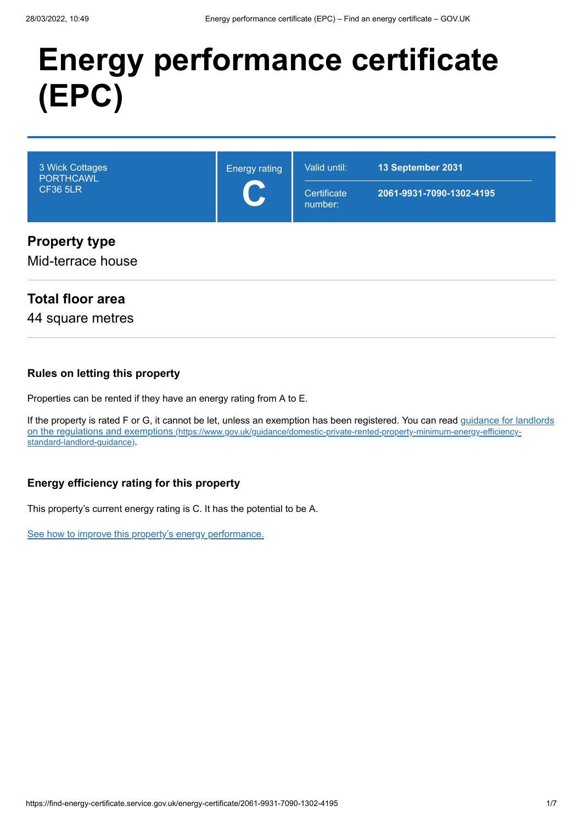# **Energy performance certificate (EPC)**

| 3 Wick Cottages<br>PORTHCAWL<br><b>CF36 5LR</b> | <b>Energy rating</b><br>$\blacktriangleright$<br>$\overline{\mathbf{v}}$ | Valid until:<br>Certificate<br>number: | 13 September 2031<br>2061-9931-7090-1302-4195 |
|-------------------------------------------------|--------------------------------------------------------------------------|----------------------------------------|-----------------------------------------------|
| <b>Property type</b><br>Mid-terrace house       |                                                                          |                                        |                                               |

#### **Total floor area**

44 square metres

#### **Rules on letting this property**

Properties can be rented if they have an energy rating from A to E.

[If the property is rated F or G, it cannot be let, unless an exemption has been registered. You can read guidance for landlords](https://www.gov.uk/guidance/domestic-private-rented-property-minimum-energy-efficiency-standard-landlord-guidance) on the regulations and exemptions (https://www.gov.uk/guidance/domestic-private-rented-property-minimum-energy-efficiencystandard-landlord-guidance).

#### **Energy efficiency rating for this property**

This property's current energy rating is C. It has the potential to be A.

[See how to improve this property's energy performance.](#page-3-0)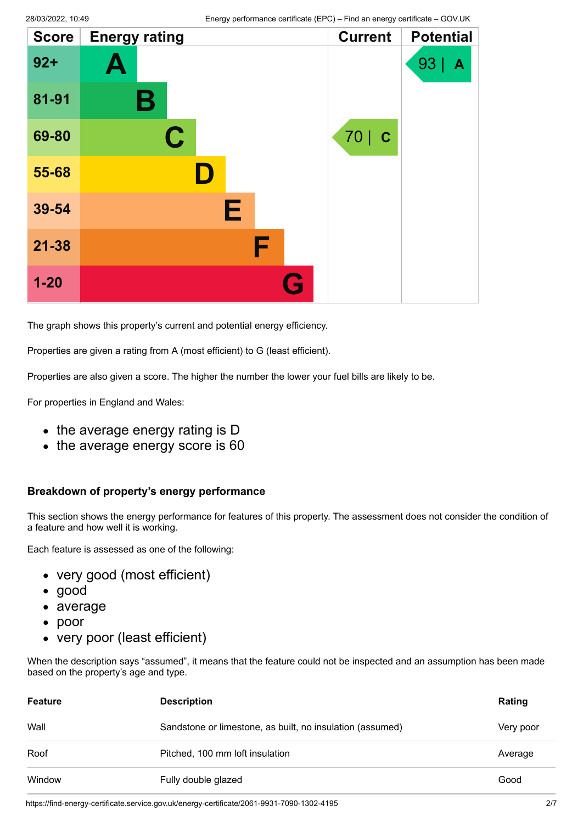| <b>Score</b> | <b>Energy rating</b> | <b>Current</b> | <b>Potential</b> |
|--------------|----------------------|----------------|------------------|
| $92 +$       | A                    |                | 93<br>A          |
| 81-91        | В                    |                |                  |
| 69-80        | $\mathbf C$          | 70   C         |                  |
| 55-68        |                      |                |                  |
| 39-54        | Е                    |                |                  |
| $21 - 38$    | F                    |                |                  |
| $1 - 20$     | G                    |                |                  |

The graph shows this property's current and potential energy efficiency.

Properties are given a rating from A (most efficient) to G (least efficient).

Properties are also given a score. The higher the number the lower your fuel bills are likely to be.

For properties in England and Wales:

- the average energy rating is D
- the average energy score is 60

#### **Breakdown of property's energy performance**

This section shows the energy performance for features of this property. The assessment does not consider the condition of a feature and how well it is working.

Each feature is assessed as one of the following:

- very good (most efficient)
- good
- average
- poor
- very poor (least efficient)

When the description says "assumed", it means that the feature could not be inspected and an assumption has been made based on the property's age and type.

| <b>Feature</b> | <b>Description</b>                                        | Rating    |
|----------------|-----------------------------------------------------------|-----------|
| Wall           | Sandstone or limestone, as built, no insulation (assumed) | Very poor |
| Roof           | Pitched, 100 mm loft insulation                           | Average   |
| Window         | Fully double glazed                                       | Good      |

https://find-energy-certificate.service.gov.uk/energy-certificate/2061-9931-7090-1302-4195 2/7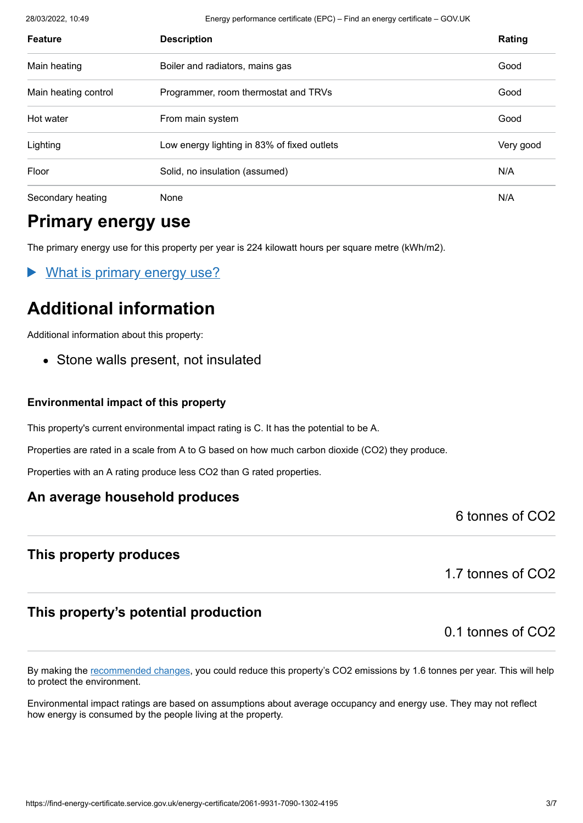28/03/2022, 10:49 Energy performance certificate (EPC) – Find an energy certificate – GOV.UK

| <b>Feature</b>       | <b>Description</b>                          | Rating    |
|----------------------|---------------------------------------------|-----------|
| Main heating         | Boiler and radiators, mains gas             | Good      |
| Main heating control | Programmer, room thermostat and TRVs        | Good      |
| Hot water            | From main system                            | Good      |
| Lighting             | Low energy lighting in 83% of fixed outlets | Very good |
| Floor                | Solid, no insulation (assumed)              | N/A       |
| Secondary heating    | None                                        | N/A       |

## **Primary energy use**

The primary energy use for this property per year is 224 kilowatt hours per square metre (kWh/m2).

What is primary energy use?

## **Additional information**

Additional information about this property:

• Stone walls present, not insulated

#### **Environmental impact of this property**

This property's current environmental impact rating is C. It has the potential to be A.

Properties are rated in a scale from A to G based on how much carbon dioxide (CO2) they produce.

Properties with an A rating produce less CO2 than G rated properties.

#### **An average household produces**

6 tonnes of CO2

#### **This property produces**

1.7 tonnes of CO2

#### **This property's potential production**

0.1 tonnes of CO2

By making the [recommended changes](#page-3-0), you could reduce this property's CO2 emissions by 1.6 tonnes per year. This will help to protect the environment.

Environmental impact ratings are based on assumptions about average occupancy and energy use. They may not reflect how energy is consumed by the people living at the property.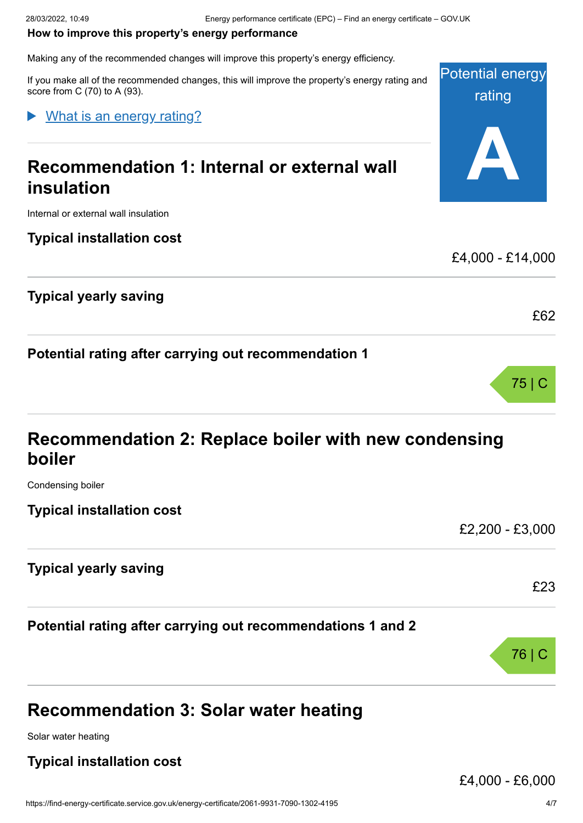#### <span id="page-3-0"></span>**How to improve this property's energy performance**

Making any of the recommended changes will improve this property's energy efficiency.

If you make all of the recommended changes, this will improve the property's energy rating and score from C (70) to A (93).

What is an energy rating?

## **Recommendation 1: Internal or external wall insulation**

Internal or external wall insulation

**Typical installation cost**

**Typical yearly saving**

**Potential rating after carrying out recommendation 1**

| Recommendation 2: Replace boiler with new condensing |  |
|------------------------------------------------------|--|
| boiler                                               |  |

Condensing boiler

**Typical installation cost**

£2,200 - £3,000

£23

76 | C

Potential energy

rating

**A**

£4,000 - £14,000

£62

75 | C

**Typical yearly saving**

**Potential rating after carrying out recommendations 1 and 2**

## **Recommendation 3: Solar water heating**

Solar water heating

#### **Typical installation cost**

£4,000 - £6,000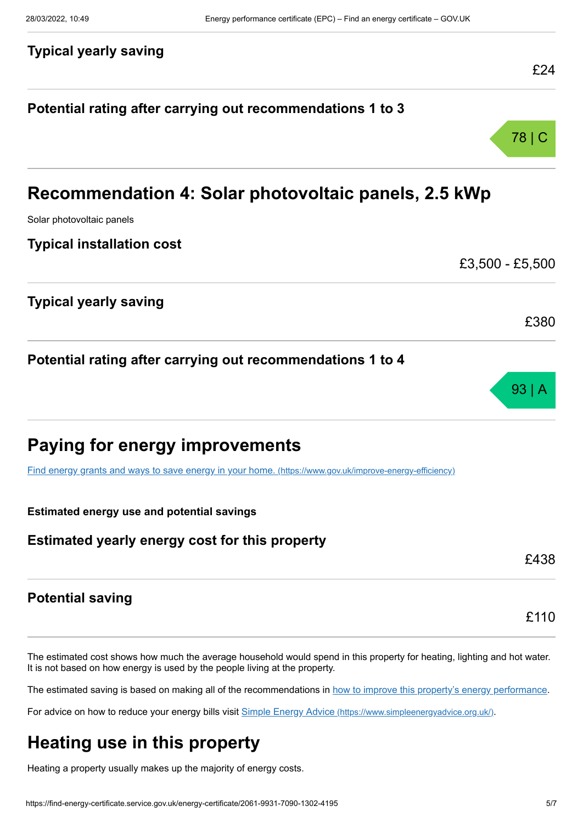## **Typical yearly saving** £24 **Potential rating after carrying out recommendations 1 to 3** 78 | C **Recommendation 4: Solar photovoltaic panels, 2.5 kWp** Solar photovoltaic panels **Typical installation cost** £3,500 - £5,500 **Typical yearly saving** £380 **Potential rating after carrying out recommendations 1 to 4** 93 | A **Paying for energy improvements** [Find energy grants and ways to save energy in your home.](https://www.gov.uk/improve-energy-efficiency) (https://www.gov.uk/improve-energy-efficiency) **Estimated energy use and potential savings Estimated yearly energy cost for this property** £438 **Potential saving** £110

The estimated cost shows how much the average household would spend in this property for heating, lighting and hot water. It is not based on how energy is used by the people living at the property.

The estimated saving is based on making all of the recommendations in [how to improve this property's energy performance.](#page-3-0)

For advice on how to reduce your energy bills visit Simple Energy Advice [\(https://www.simpleenergyadvice.org.uk/\)](https://www.simpleenergyadvice.org.uk/).

## **Heating use in this property**

Heating a property usually makes up the majority of energy costs.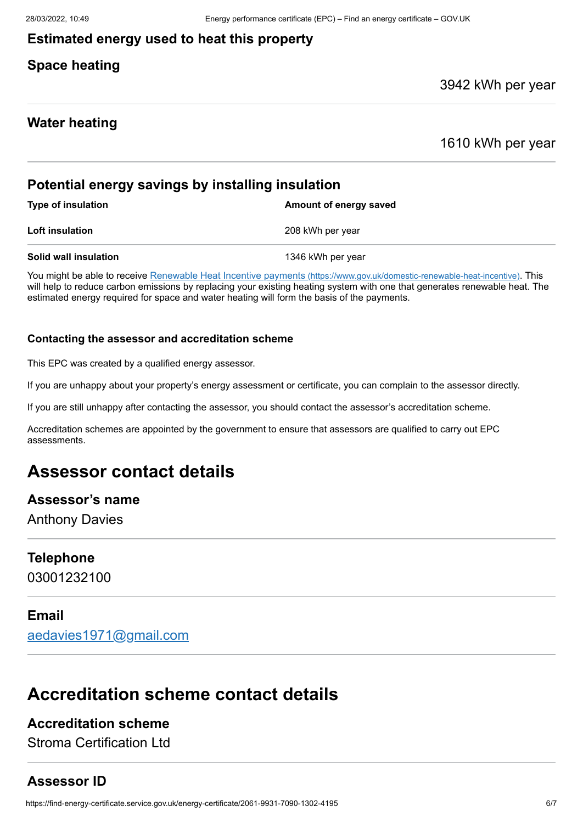#### **Estimated energy used to heat this property**

#### **Space heating**

#### 3942 kWh per year

#### **Water heating**

1610 kWh per year

#### **Potential energy savings by installing insulation**

| <b>Type of insulation</b> | Amount of energy saved |
|---------------------------|------------------------|
| Loft insulation           | 208 kWh per year       |
| Solid wall insulation     | 1346 kWh per year      |

You might be able to receive Renewable Heat Incentive payments [\(https://www.gov.uk/domestic-renewable-heat-incentive\)](https://www.gov.uk/domestic-renewable-heat-incentive). This will help to reduce carbon emissions by replacing your existing heating system with one that generates renewable heat. The estimated energy required for space and water heating will form the basis of the payments.

#### **Contacting the assessor and accreditation scheme**

This EPC was created by a qualified energy assessor.

If you are unhappy about your property's energy assessment or certificate, you can complain to the assessor directly.

If you are still unhappy after contacting the assessor, you should contact the assessor's accreditation scheme.

Accreditation schemes are appointed by the government to ensure that assessors are qualified to carry out EPC assessments.

## **Assessor contact details**

#### **Assessor's name**

Anthony Davies

#### **Telephone**

03001232100

#### **Email**

[aedavies1971@gmail.com](mailto:aedavies1971@gmail.com)

## **Accreditation scheme contact details**

#### **Accreditation scheme**

Stroma Certification Ltd

#### **Assessor ID**